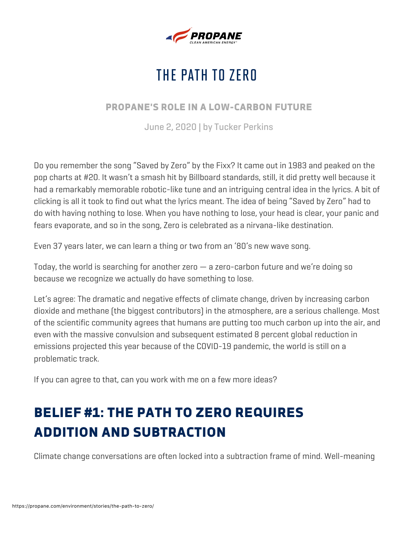

# THE PATH TO ZERO

#### PROPANE'S ROLE IN A LOW-CARBON FUTURE

June 2, 2020 | by Tucker Perkins

Do you remember the song "Saved by Zero" by the Fixx? It came out in 1983 and peaked on the pop charts at #20. It wasn't a smash hit by Billboard standards, still, it did pretty well because it had a remarkably memorable robotic-like tune and an intriguing central idea in the lyrics. A bit of clicking is all it took to find out what the lyrics meant. The idea of being "Saved by Zero" had to do with having nothing to lose. When you have nothing to lose, your head is clear, your panic and fears evaporate, and so in the song, Zero is celebrated as a nirvana-like destination.

Even 37 years later, we can learn a thing or two from an '80's new wave song.

Today, the world is searching for another zero — a zero-carbon future and we're doing so because we recognize we actually do have something to lose.

Let's agree: The dramatic and negative effects of climate change, driven by increasing carbon dioxide and methane (the biggest contributors) in the atmosphere, are a serious challenge. Most of the scientific community agrees that humans are putting too much carbon up into the air, and even with the massive convulsion and subsequent estimated 8 percent global reduction in emissions projected this year because of the COVID-19 pandemic, the world is still on a problematic track.

If you can agree to that, can you work with me on a few more ideas?

# BELIEF #1: THE PATH TO ZERO REQUIRES ADDITION AND SUBTRACTION

Climate change conversations are often locked into a subtraction frame of mind. Well-meaning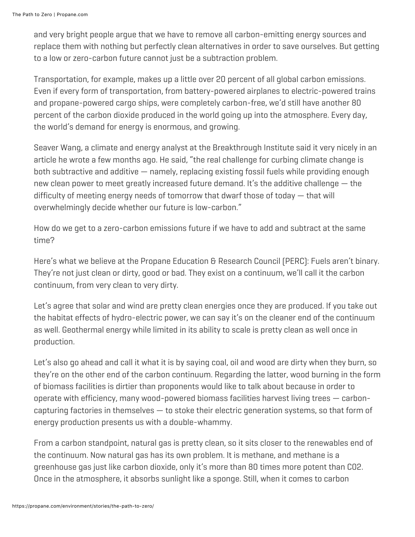and very bright people argue that we have to remove all carbon-emitting energy sources and replace them with nothing but perfectly clean alternatives in order to save ourselves. But getting to a low or zero-carbon future cannot just be a subtraction problem.

Transportation, for example, makes up a little over 20 percent of all global carbon emissions. Even if every form of transportation, from battery-powered airplanes to electric-powered trains and propane-powered cargo ships, were completely carbon-free, we'd still have another 80 percent of the carbon dioxide produced in the world going up into the atmosphere. Every day, the world's demand for energy is enormous, and growing.

Seaver Wang, a climate and energy analyst at the Breakthrough Institute said it very nicely in an article he wrote a few months ago. He said, "the real challenge for curbing climate change is both subtractive and additive — namely, replacing existing fossil fuels while providing enough new clean power to meet greatly increased future demand. It's the additive challenge — the difficulty of meeting energy needs of tomorrow that dwarf those of today — that will overwhelmingly decide whether our future is low-carbon."

How do we get to a zero-carbon emissions future if we have to add and subtract at the same time?

Here's what we believe at the Propane Education & Research Council (PERC): Fuels aren't binary. They're not just clean or dirty, good or bad. They exist on a continuum, we'll call it the carbon continuum, from very clean to very dirty.

Let's agree that solar and wind are pretty clean energies once they are produced. If you take out the habitat effects of hydro-electric power, we can say it's on the cleaner end of the continuum as well. Geothermal energy while limited in its ability to scale is pretty clean as well once in production.

Let's also go ahead and call it what it is by saying coal, oil and wood are dirty when they burn, so they're on the other end of the carbon continuum. Regarding the latter, wood burning in the form of biomass facilities is dirtier than proponents would like to talk about because in order to operate with efficiency, many wood-powered biomass facilities harvest living trees — carboncapturing factories in themselves  $-$  to stoke their electric generation systems, so that form of energy production presents us with a double-whammy.

From a carbon standpoint, natural gas is pretty clean, so it sits closer to the renewables end of the continuum. Now natural gas has its own problem. It is methane, and methane is a greenhouse gas just like carbon dioxide, only it's more than 80 times more potent than C02. Once in the atmosphere, it absorbs sunlight like a sponge. Still, when it comes to carbon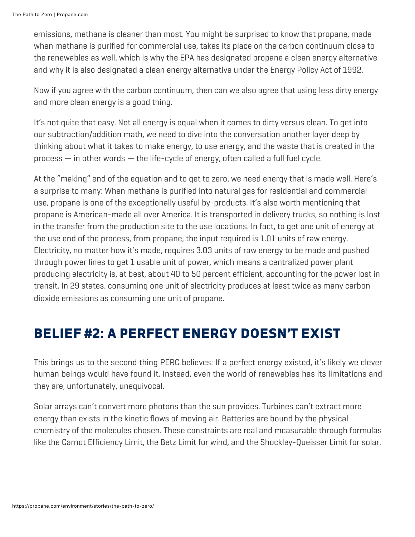emissions, methane is cleaner than most. You might be surprised to know that propane, made when methane is purified for commercial use, takes its place on the carbon continuum close to the renewables as well, which is why the EPA has designated propane a clean energy alternative and why it is also designated a clean energy alternative under the Energy Policy Act of 1992.

Now if you agree with the carbon continuum, then can we also agree that using less dirty energy and more clean energy is a good thing.

It's not quite that easy. Not all energy is equal when it comes to dirty versus clean. To get into our subtraction/addition math, we need to dive into the conversation another layer deep by thinking about what it takes to make energy, to use energy, and the waste that is created in the process — in other words — the life-cycle of energy, often called a full fuel cycle.

At the "making" end of the equation and to get to zero, we need energy that is made well. Here's a surprise to many: When methane is purified into natural gas for residential and commercial use, propane is one of the exceptionally useful by-products. It's also worth mentioning that propane is American-made all over America. It is transported in delivery trucks, so nothing is lost in the transfer from the production site to the use locations. In fact, to get one unit of energy at the use end of the process, from propane, the input required is 1.01 units of raw energy. Electricity, no matter how it's made, requires 3.03 units of raw energy to be made and pushed through power lines to get 1 usable unit of power, which means a centralized power plant producing electricity is, at best, about 40 to 50 percent efficient, accounting for the power lost in transit. In 29 states, consuming one unit of electricity produces at least twice as many carbon dioxide emissions as consuming one unit of propane.

#### BELIEF #2: A PERFECT ENERGY DOESN'T EXIST

This brings us to the second thing PERC believes: If a perfect energy existed, it's likely we clever human beings would have found it. Instead, even the world of renewables has its limitations and they are, unfortunately, unequivocal.

Solar arrays can't convert more photons than the sun provides. Turbines can't extract more energy than exists in the kinetic flows of moving air. Batteries are bound by the physical chemistry of the molecules chosen. These constraints are real and measurable through formulas like the Carnot Efficiency Limit, the Betz Limit for wind, and the Shockley-Queisser Limit for solar.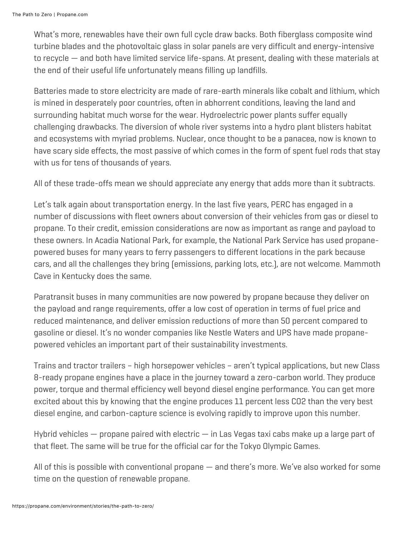What's more, renewables have their own full cycle draw backs. Both fiberglass composite wind turbine blades and the photovoltaic glass in solar panels are very difficult and energy-intensive to recycle — and both have limited service life-spans. At present, dealing with these materials at the end of their useful life unfortunately means filling up landfills.

Batteries made to store electricity are made of rare-earth minerals like cobalt and lithium, which is mined in desperately poor countries, often in abhorrent conditions, leaving the land and surrounding habitat much worse for the wear. Hydroelectric power plants suffer equally challenging drawbacks. The diversion of whole river systems into a hydro plant blisters habitat and ecosystems with myriad problems. Nuclear, once thought to be a panacea, now is known to have scary side effects, the most passive of which comes in the form of spent fuel rods that stay with us for tens of thousands of years.

All of these trade-offs mean we should appreciate any energy that adds more than it subtracts.

Let's talk again about transportation energy. In the last five years, PERC has engaged in a number of discussions with fleet owners about conversion of their vehicles from gas or diesel to propane. To their credit, emission considerations are now as important as range and payload to these owners. In Acadia National Park, for example, the National Park Service has used propanepowered buses for many years to ferry passengers to different locations in the park because cars, and all the challenges they bring (emissions, parking lots, etc.), are not welcome. Mammoth Cave in Kentucky does the same.

Paratransit buses in many communities are now powered by propane because they deliver on the payload and range requirements, offer a low cost of operation in terms of fuel price and reduced maintenance, and deliver emission reductions of more than 50 percent compared to gasoline or diesel. It's no wonder companies like Nestle Waters and UPS have made propanepowered vehicles an important part of their sustainability investments.

Trains and tractor trailers – high horsepower vehicles – aren't typical applications, but new Class 8-ready propane engines have a place in the journey toward a zero-carbon world. They produce power, torque and thermal efficiency well beyond diesel engine performance. You can get more excited about this by knowing that the engine produces 11 percent less CO2 than the very best diesel engine, and carbon-capture science is evolving rapidly to improve upon this number.

Hybrid vehicles  $-$  propane paired with electric  $-$  in Las Vegas taxi cabs make up a large part of that fleet. The same will be true for the official car for the Tokyo Olympic Games.

All of this is possible with conventional propane — and there's more. We've also worked for some time on the question of renewable propane.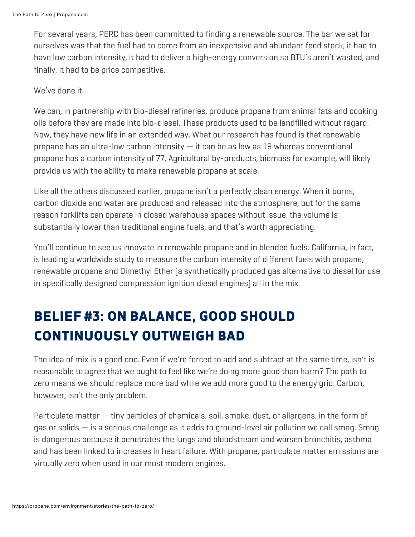For several years, PERC has been committed to finding a renewable source. The bar we set for ourselves was that the fuel had to come from an inexpensive and abundant feed stock, it had to have low carbon intensity, it had to deliver a high-energy conversion so BTU's aren't wasted, and finally, it had to be price competitive.

We've done it.

We can, in partnership with bio-diesel refineries, produce propane from animal fats and cooking oils before they are made into bio-diesel. These products used to be landfilled without regard. Now, they have new life in an extended way. What our research has found is that renewable propane has an ultra-low carbon intensity — it can be as low as 19 whereas conventional propane has a carbon intensity of 77. Agricultural by-products, biomass for example, will likely provide us with the ability to make renewable propane at scale.

Like all the others discussed earlier, propane isn't a perfectly clean energy. When it burns, carbon dioxide and water are produced and released into the atmosphere, but for the same reason forklifts can operate in closed warehouse spaces without issue, the volume is substantially lower than traditional engine fuels, and that's worth appreciating.

You'll continue to see us innovate in renewable propane and in blended fuels. California, in fact, is leading a worldwide study to measure the carbon intensity of different fuels with propane, renewable propane and Dimethyl Ether (a synthetically produced gas alternative to diesel for use in specifically designed compression ignition diesel engines) all in the mix.

## BELIEF #3: ON BALANCE, GOOD SHOULD CONTINUOUSLY OUTWEIGH BAD

The idea of mix is a good one. Even if we're forced to add and subtract at the same time, isn't is reasonable to agree that we ought to feel like we're doing more good than harm? The path to zero means we should replace more bad while we add more good to the energy grid. Carbon, however, isn't the only problem.

Particulate matter — tiny particles of chemicals, soil, smoke, dust, or allergens, in the form of gas or solids — is a serious challenge as it adds to ground-level air pollution we call smog. Smog is dangerous because it penetrates the lungs and bloodstream and worsen bronchitis, asthma and has been linked to increases in heart failure. With propane, particulate matter emissions are virtually zero when used in our most modern engines.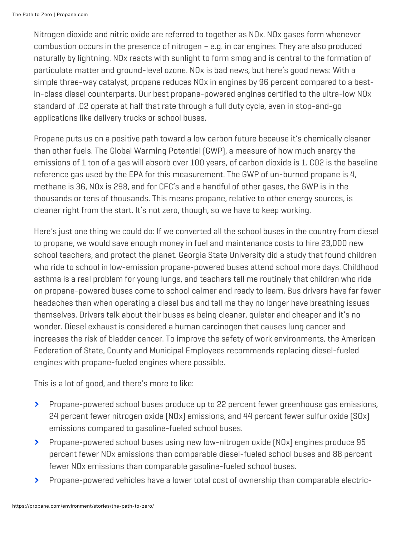Nitrogen dioxide and nitric oxide are referred to together as NOx. NOx gases form whenever combustion occurs in the presence of nitrogen – e.g. in car engines. They are also produced naturally by lightning. NOx reacts with sunlight to form smog and is central to the formation of particulate matter and ground-level ozone. NOx is bad news, but here's good news: With a simple three-way catalyst, propane reduces NOx in engines by 96 percent compared to a bestin-class diesel counterparts. Our best propane-powered engines certified to the ultra-low NOx standard of .02 operate at half that rate through a full duty cycle, even in stop-and-go applications like delivery trucks or school buses.

Propane puts us on a positive path toward a low carbon future because it's chemically cleaner than other fuels. The Global Warming Potential (GWP), a measure of how much energy the emissions of 1 ton of a gas will absorb over 100 years, of carbon dioxide is 1. CO2 is the baseline reference gas used by the EPA for this measurement. The GWP of un-burned propane is 4, methane is 36, NOx is 298, and for CFC's and a handful of other gases, the GWP is in the thousands or tens of thousands. This means propane, relative to other energy sources, is cleaner right from the start. It's not zero, though, so we have to keep working.

Here's just one thing we could do: If we converted all the school buses in the country from diesel to propane, we would save enough money in fuel and maintenance costs to hire 23,000 new school teachers, and protect the planet. Georgia State University did a study that found children who ride to school in low-emission propane-powered buses attend school more days. Childhood asthma is a real problem for young lungs, and teachers tell me routinely that children who ride on propane-powered buses come to school calmer and ready to learn. Bus drivers have far fewer headaches than when operating a diesel bus and tell me they no longer have breathing issues themselves. Drivers talk about their buses as being cleaner, quieter and cheaper and it's no wonder. Diesel exhaust is considered a human carcinogen that causes lung cancer and increases the risk of bladder cancer. To improve the safety of work environments, the American Federation of State, County and Municipal Employees recommends replacing diesel-fueled engines with propane-fueled engines where possible.

This is a lot of good, and there's more to like:

- $\blacktriangleright$ Propane-powered school buses produce up to 22 percent fewer greenhouse gas emissions, 24 percent fewer nitrogen oxide (NOx) emissions, and 44 percent fewer sulfur oxide (SOx) emissions compared to gasoline-fueled school buses.
- $\blacktriangleright$ Propane-powered school buses using new low-nitrogen oxide (NOx) engines produce 95 percent fewer NOx emissions than comparable diesel-fueled school buses and 88 percent fewer NOx emissions than comparable gasoline-fueled school buses.
- $\blacktriangleright$ Propane-powered vehicles have a lower total cost of ownership than comparable electric-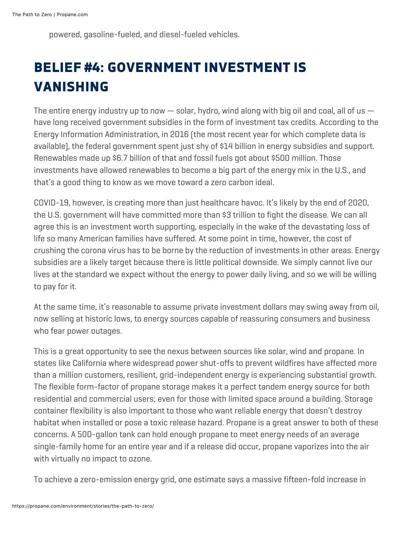powered, gasoline-fueled, and diesel-fueled vehicles.

# BELIEF #4: GOVERNMENT INVESTMENT IS VANISHING

The entire energy industry up to now  $-$  solar, hydro, wind along with big oil and coal, all of us  $$ have long received government subsidies in the form of investment tax credits. According to the Energy Information Administration, in 2016 (the most recent year for which complete data is available), the federal government spent just shy of \$14 billion in energy subsidies and support. Renewables made up \$6.7 billion of that and fossil fuels got about \$500 million. Those investments have allowed renewables to become a big part of the energy mix in the U.S., and that's a good thing to know as we move toward a zero carbon ideal.

COVID-19, however, is creating more than just healthcare havoc. It's likely by the end of 2020, the U.S. government will have committed more than \$3 trillion to fight the disease. We can all agree this is an investment worth supporting, especially in the wake of the devastating loss of life so many American families have suffered. At some point in time, however, the cost of crushing the corona virus has to be borne by the reduction of investments in other areas. Energy subsidies are a likely target because there is little political downside. We simply cannot live our lives at the standard we expect without the energy to power daily living, and so we will be willing to pay for it.

At the same time, it's reasonable to assume private investment dollars may swing away from oil, now selling at historic lows, to energy sources capable of reassuring consumers and business who fear power outages.

This is a great opportunity to see the nexus between sources like solar, wind and propane. In states like California where widespread power shut-offs to prevent wildfires have affected more than a million customers, resilient, grid-independent energy is experiencing substantial growth. The flexible form-factor of propane storage makes it a perfect tandem energy source for both residential and commercial users; even for those with limited space around a building. Storage container flexibility is also important to those who want reliable energy that doesn't destroy habitat when installed or pose a toxic release hazard. Propane is a great answer to both of these concerns. A 500-gallon tank can hold enough propane to meet energy needs of an average single-family home for an entire year and if a release did occur, propane vaporizes into the air with virtually no impact to ozone.

To achieve a zero-emission energy grid, one estimate says a massive fifteen-fold increase in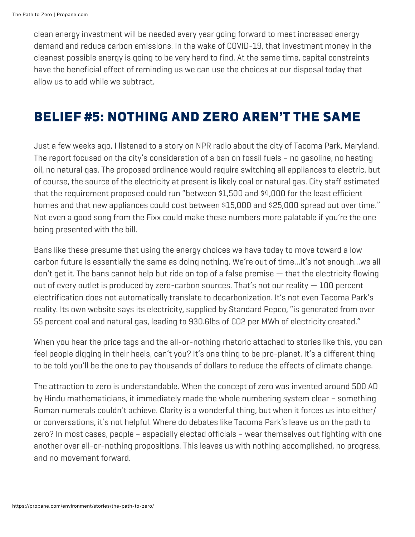clean energy investment will be needed every year going forward to meet increased energy demand and reduce carbon emissions. In the wake of COVID-19, that investment money in the cleanest possible energy is going to be very hard to find. At the same time, capital constraints have the beneficial effect of reminding us we can use the choices at our disposal today that allow us to add while we subtract.

#### BELIEF #5: NOTHING AND ZERO AREN'T THE SAME

Just a few weeks ago, I listened to a story on NPR radio about the city of Tacoma Park, Maryland. The report focused on the city's consideration of a ban on fossil fuels – no gasoline, no heating oil, no natural gas. The proposed ordinance would require switching all appliances to electric, but of course, the source of the electricity at present is likely coal or natural gas. City staff estimated that the requirement proposed could run "between \$1,500 and \$4,000 for the least efficient homes and that new appliances could cost between \$15,000 and \$25,000 spread out over time." Not even a good song from the Fixx could make these numbers more palatable if you're the one being presented with the bill.

Bans like these presume that using the energy choices we have today to move toward a low carbon future is essentially the same as doing nothing. We're out of time…it's not enough…we all don't get it. The bans cannot help but ride on top of a false premise — that the electricity flowing out of every outlet is produced by zero-carbon sources. That's not our reality — 100 percent electrification does not automatically translate to decarbonization. It's not even Tacoma Park's reality. Its own website says its electricity, supplied by Standard Pepco, "is generated from over 55 percent coal and natural gas, leading to 930.6lbs of CO2 per MWh of electricity created."

When you hear the price tags and the all-or-nothing rhetoric attached to stories like this, you can feel people digging in their heels, can't you? It's one thing to be pro-planet. It's a different thing to be told you'll be the one to pay thousands of dollars to reduce the effects of climate change.

The attraction to zero is understandable. When the concept of zero was invented around 500 AD by Hindu mathematicians, it immediately made the whole numbering system clear – something Roman numerals couldn't achieve. Clarity is a wonderful thing, but when it forces us into either/ or conversations, it's not helpful. Where do debates like Tacoma Park's leave us on the path to zero? In most cases, people – especially elected officials – wear themselves out fighting with one another over all-or-nothing propositions. This leaves us with nothing accomplished, no progress, and no movement forward.